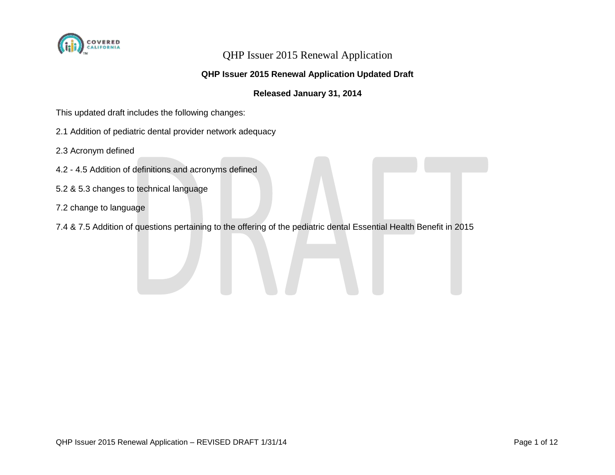

#### **QHP Issuer 2015 Renewal Application Updated Draft**

#### **Released January 31, 2014**

This updated draft includes the following changes:

- 2.1 Addition of pediatric dental provider network adequacy
- 2.3 Acronym defined
- 4.2 4.5 Addition of definitions and acronyms defined
- 5.2 & 5.3 changes to technical language
- 7.2 change to language
- 7.4 & 7.5 Addition of questions pertaining to the offering of the pediatric dental Essential Health Benefit in 2015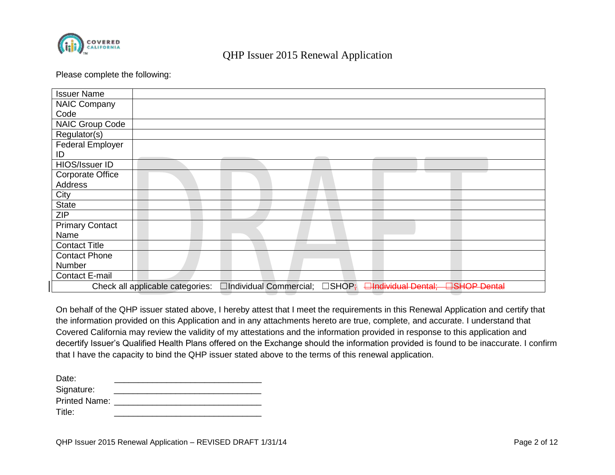

#### Please complete the following:

| <b>Issuer Name</b>      |                                  |                         |                 |                             |                      |
|-------------------------|----------------------------------|-------------------------|-----------------|-----------------------------|----------------------|
| <b>NAIC Company</b>     |                                  |                         |                 |                             |                      |
| Code                    |                                  |                         |                 |                             |                      |
| NAIC Group Code         |                                  |                         |                 |                             |                      |
| Regulator(s)            |                                  |                         |                 |                             |                      |
| <b>Federal Employer</b> |                                  |                         |                 |                             |                      |
| ID                      |                                  |                         |                 |                             |                      |
| HIOS/Issuer ID          |                                  |                         |                 |                             |                      |
| <b>Corporate Office</b> |                                  |                         |                 |                             |                      |
| Address                 |                                  |                         |                 |                             |                      |
| City                    |                                  |                         |                 |                             |                      |
| <b>State</b>            |                                  |                         |                 |                             |                      |
| <b>ZIP</b>              |                                  |                         |                 |                             |                      |
| <b>Primary Contact</b>  |                                  |                         |                 |                             |                      |
| Name                    |                                  |                         |                 |                             |                      |
| <b>Contact Title</b>    |                                  |                         |                 |                             |                      |
| <b>Contact Phone</b>    |                                  |                         |                 |                             |                      |
| Number                  |                                  |                         |                 |                             |                      |
| <b>Contact E-mail</b>   |                                  |                         |                 |                             |                      |
|                         | Check all applicable categories: | □Individual Commercial; | $\square$ SHOP; | <b>Elndividual Dental</b> ; | <b>EISHOP Dental</b> |

On behalf of the QHP issuer stated above, I hereby attest that I meet the requirements in this Renewal Application and certify that the information provided on this Application and in any attachments hereto are true, complete, and accurate. I understand that Covered California may review the validity of my attestations and the information provided in response to this application and decertify Issuer's Qualified Health Plans offered on the Exchange should the information provided is found to be inaccurate. I confirm that I have the capacity to bind the QHP issuer stated above to the terms of this renewal application.

| Date:                |  |
|----------------------|--|
| Signature:           |  |
| <b>Printed Name:</b> |  |
| Title:               |  |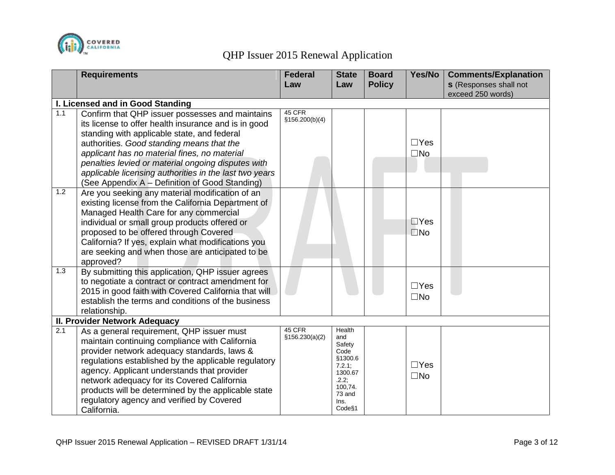

|     | <b>Requirements</b>                                                                                                                                                                                                                                                                                                                                                                                                   | <b>Federal</b><br>Law     | <b>State</b><br>Law                                                                                                | <b>Board</b><br><b>Policy</b> | Yes/No                        | <b>Comments/Explanation</b><br><b>s</b> (Responses shall not<br>exceed 250 words) |
|-----|-----------------------------------------------------------------------------------------------------------------------------------------------------------------------------------------------------------------------------------------------------------------------------------------------------------------------------------------------------------------------------------------------------------------------|---------------------------|--------------------------------------------------------------------------------------------------------------------|-------------------------------|-------------------------------|-----------------------------------------------------------------------------------|
|     | I. Licensed and in Good Standing                                                                                                                                                                                                                                                                                                                                                                                      |                           |                                                                                                                    |                               |                               |                                                                                   |
| 1.1 | Confirm that QHP issuer possesses and maintains<br>its license to offer health insurance and is in good<br>standing with applicable state, and federal<br>authorities. Good standing means that the<br>applicant has no material fines, no material<br>penalties levied or material ongoing disputes with<br>applicable licensing authorities in the last two years<br>(See Appendix A - Definition of Good Standing) | 45 CFR<br>\$156.200(b)(4) |                                                                                                                    |                               | $\Box$ Yes<br>$\square$ No    |                                                                                   |
| 1.2 | Are you seeking any material modification of an<br>existing license from the California Department of<br>Managed Health Care for any commercial<br>individual or small group products offered or<br>proposed to be offered through Covered<br>California? If yes, explain what modifications you<br>are seeking and when those are anticipated to be<br>approved?                                                     |                           |                                                                                                                    |                               | $\square$ Yes<br>$\square$ No |                                                                                   |
| 1.3 | By submitting this application, QHP issuer agrees<br>to negotiate a contract or contract amendment for<br>2015 in good faith with Covered California that will<br>establish the terms and conditions of the business<br>relationship.                                                                                                                                                                                 |                           |                                                                                                                    |                               | $\Box$ Yes<br>$\square$ No    |                                                                                   |
|     | II. Provider Network Adequacy                                                                                                                                                                                                                                                                                                                                                                                         |                           |                                                                                                                    |                               |                               |                                                                                   |
| 2.1 | As a general requirement, QHP issuer must<br>maintain continuing compliance with California<br>provider network adequacy standards, laws &<br>regulations established by the applicable regulatory<br>agency. Applicant understands that provider<br>network adequacy for its Covered California<br>products will be determined by the applicable state<br>regulatory agency and verified by Covered<br>California.   | 45 CFR<br>\$156.230(a)(2) | Health<br>and<br>Safety<br>Code<br>§1300.6<br>$7.2.1$ ;<br>1300.67<br>.2.2;<br>100,74.<br>73 and<br>Ins.<br>Code§1 |                               | $\Box$ Yes<br>$\square$ No    |                                                                                   |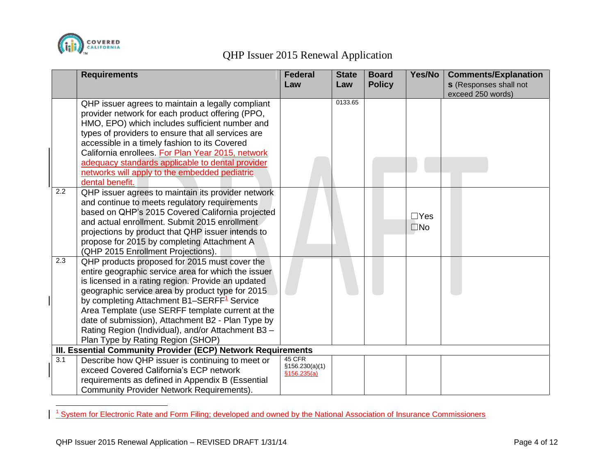

|     | <b>Requirements</b>                                                                         | <b>Federal</b> | <b>State</b> | <b>Board</b>  | Yes/No       | <b>Comments/Explanation</b>                        |
|-----|---------------------------------------------------------------------------------------------|----------------|--------------|---------------|--------------|----------------------------------------------------|
|     |                                                                                             | Law            | Law          | <b>Policy</b> |              | <b>s</b> (Responses shall not<br>exceed 250 words) |
|     | QHP issuer agrees to maintain a legally compliant                                           |                | 0133.65      |               |              |                                                    |
|     | provider network for each product offering (PPO,                                            |                |              |               |              |                                                    |
|     | HMO, EPO) which includes sufficient number and                                              |                |              |               |              |                                                    |
|     | types of providers to ensure that all services are                                          |                |              |               |              |                                                    |
|     | accessible in a timely fashion to its Covered                                               |                |              |               |              |                                                    |
|     | California enrollees. For Plan Year 2015, network                                           |                |              |               |              |                                                    |
|     | adequacy standards applicable to dental provider                                            |                |              |               |              |                                                    |
|     | networks will apply to the embedded pediatric                                               |                |              |               |              |                                                    |
|     | dental benefit.                                                                             |                |              |               |              |                                                    |
| 2.2 | QHP issuer agrees to maintain its provider network                                          |                |              |               |              |                                                    |
|     | and continue to meets regulatory requirements                                               |                |              |               |              |                                                    |
|     | based on QHP's 2015 Covered California projected                                            |                |              |               | $\Box$ Yes   |                                                    |
|     | and actual enrollment. Submit 2015 enrollment                                               |                |              |               | $\square$ No |                                                    |
|     | projections by product that QHP issuer intends to                                           |                |              |               |              |                                                    |
|     | propose for 2015 by completing Attachment A                                                 |                |              |               |              |                                                    |
|     | (QHP 2015 Enrollment Projections).                                                          |                |              |               |              |                                                    |
| 2.3 | QHP products proposed for 2015 must cover the                                               |                |              |               |              |                                                    |
|     | entire geographic service area for which the issuer                                         |                |              |               |              |                                                    |
|     | is licensed in a rating region. Provide an updated                                          |                |              |               |              |                                                    |
|     | geographic service area by product type for 2015                                            |                |              |               |              |                                                    |
|     | by completing Attachment B1-SERFF <sup>1</sup> Service                                      |                |              |               |              |                                                    |
|     | Area Template (use SERFF template current at the                                            |                |              |               |              |                                                    |
|     | date of submission), Attachment B2 - Plan Type by                                           |                |              |               |              |                                                    |
|     | Rating Region (Individual), and/or Attachment B3 -                                          |                |              |               |              |                                                    |
|     | Plan Type by Rating Region (SHOP)                                                           |                |              |               |              |                                                    |
| 3.1 | III. Essential Community Provider (ECP) Network Requirements                                | 45 CFR         |              |               |              |                                                    |
|     | Describe how QHP issuer is continuing to meet or<br>exceed Covered California's ECP network | §156.230(a)(1) |              |               |              |                                                    |
|     |                                                                                             | \$156.235(a)   |              |               |              |                                                    |
|     | requirements as defined in Appendix B (Essential                                            |                |              |               |              |                                                    |
|     | <b>Community Provider Network Requirements).</b>                                            |                |              |               |              |                                                    |

 1 System for Electronic Rate and Form Filing; developed and owned by the National Association of Insurance Commissioners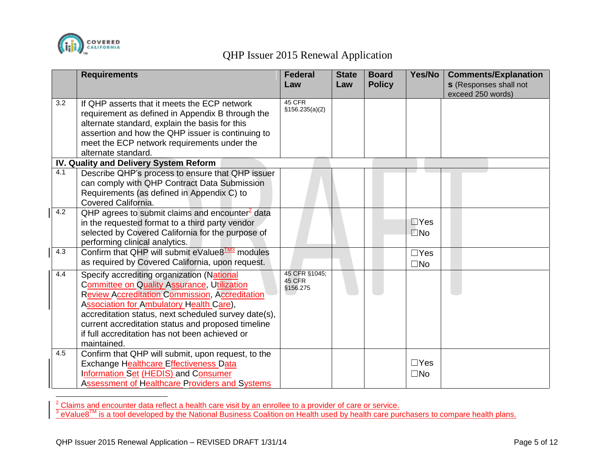

 $\overline{a}$ 

## QHP Issuer 2015 Renewal Application

|     | <b>Requirements</b>                                                                                                                                                                                                                                                                                                                                                           | <b>Federal</b><br>Law               | <b>State</b><br>Law | <b>Board</b><br><b>Policy</b> | Yes/No                        | <b>Comments/Explanation</b><br><b>s</b> (Responses shall not<br>exceed 250 words) |
|-----|-------------------------------------------------------------------------------------------------------------------------------------------------------------------------------------------------------------------------------------------------------------------------------------------------------------------------------------------------------------------------------|-------------------------------------|---------------------|-------------------------------|-------------------------------|-----------------------------------------------------------------------------------|
| 3.2 | If QHP asserts that it meets the ECP network<br>requirement as defined in Appendix B through the<br>alternate standard, explain the basis for this<br>assertion and how the QHP issuer is continuing to<br>meet the ECP network requirements under the<br>alternate standard.                                                                                                 | 45 CFR<br>\$156.235(a)(2)           |                     |                               |                               |                                                                                   |
|     | IV. Quality and Delivery System Reform                                                                                                                                                                                                                                                                                                                                        |                                     |                     |                               |                               |                                                                                   |
| 4.1 | Describe QHP's process to ensure that QHP issuer<br>can comply with QHP Contract Data Submission<br>Requirements (as defined in Appendix C) to<br>Covered California.                                                                                                                                                                                                         |                                     |                     |                               |                               |                                                                                   |
| 4.2 | QHP agrees to submit claims and encounter <sup>2</sup> data<br>in the requested format to a third party vendor<br>selected by Covered California for the purpose of<br>performing clinical analytics.                                                                                                                                                                         |                                     |                     |                               | $\square$ Yes<br>$\square$ No |                                                                                   |
| 4.3 | Confirm that QHP will submit eValue8 <sup>TM3</sup> modules<br>as required by Covered California, upon request.                                                                                                                                                                                                                                                               |                                     |                     |                               | $\Box$ Yes<br>$\square$ No    |                                                                                   |
| 4.4 | Specify accrediting organization (National<br>Committee on Quality Assurance, Utilization<br><b>Review Accreditation Commission, Accreditation</b><br>Association for Ambulatory Health Care),<br>accreditation status, next scheduled survey date(s),<br>current accreditation status and proposed timeline<br>if full accreditation has not been achieved or<br>maintained. | 45 CFR §1045;<br>45 CFR<br>§156.275 |                     |                               |                               |                                                                                   |
| 4.5 | Confirm that QHP will submit, upon request, to the<br>Exchange Healthcare Effectiveness Data<br>Information Set (HEDIS) and Consumer<br>Assessment of Healthcare Providers and Systems                                                                                                                                                                                        |                                     |                     |                               | $\Box$ Yes<br>$\square$ No    |                                                                                   |

<sup>2</sup> Claims and encounter data reflect a health care visit by an enrollee to a provider of care or service.<br><sup>3</sup> eValue8™ is a tool developed by the National Business Coalition on Health used by health care purchasers to co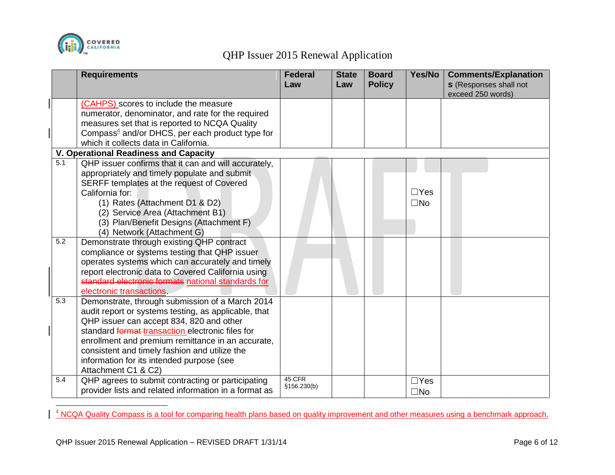

 $\overline{a}$ 

## QHP Issuer 2015 Renewal Application

|     | <b>Requirements</b>                                                   | <b>Federal</b><br>Law  | <b>State</b><br>Law | <b>Board</b><br><b>Policy</b> | Yes/No       | <b>Comments/Explanation</b><br><b>s</b> (Responses shall not |
|-----|-----------------------------------------------------------------------|------------------------|---------------------|-------------------------------|--------------|--------------------------------------------------------------|
|     | (CAHPS) scores to include the measure                                 |                        |                     |                               |              | exceed 250 words)                                            |
|     | numerator, denominator, and rate for the required                     |                        |                     |                               |              |                                                              |
|     | measures set that is reported to NCQA Quality                         |                        |                     |                               |              |                                                              |
|     | Compass $\frac{4}{3}$ and/or DHCS, per each product type for          |                        |                     |                               |              |                                                              |
|     | which it collects data in California.                                 |                        |                     |                               |              |                                                              |
|     | <b>V. Operational Readiness and Capacity</b>                          |                        |                     |                               |              |                                                              |
| 5.1 | QHP issuer confirms that it can and will accurately,                  |                        |                     |                               |              |                                                              |
|     | appropriately and timely populate and submit                          |                        |                     |                               |              |                                                              |
|     | SERFF templates at the request of Covered                             |                        |                     |                               |              |                                                              |
|     | California for:                                                       |                        |                     |                               | $\Box$ Yes   |                                                              |
|     | (1) Rates (Attachment D1 & D2)                                        |                        |                     |                               | $\square$ No |                                                              |
|     | (2) Service Area (Attachment B1)                                      |                        |                     |                               |              |                                                              |
|     | (3) Plan/Benefit Designs (Attachment F)<br>(4) Network (Attachment G) |                        |                     |                               |              |                                                              |
| 5.2 | Demonstrate through existing QHP contract                             |                        |                     |                               |              |                                                              |
|     | compliance or systems testing that QHP issuer                         |                        |                     |                               |              |                                                              |
|     | operates systems which can accurately and timely                      |                        |                     |                               |              |                                                              |
|     | report electronic data to Covered California using                    |                        |                     |                               |              |                                                              |
|     | standard electronic formats national standards for                    |                        |                     |                               |              |                                                              |
|     | electronic transactions.                                              |                        |                     |                               |              |                                                              |
| 5.3 | Demonstrate, through submission of a March 2014                       |                        |                     |                               |              |                                                              |
|     | audit report or systems testing, as applicable, that                  |                        |                     |                               |              |                                                              |
|     | QHP issuer can accept 834, 820 and other                              |                        |                     |                               |              |                                                              |
|     | standard format transaction electronic files for                      |                        |                     |                               |              |                                                              |
|     | enrollment and premium remittance in an accurate,                     |                        |                     |                               |              |                                                              |
|     | consistent and timely fashion and utilize the                         |                        |                     |                               |              |                                                              |
|     | information for its intended purpose (see                             |                        |                     |                               |              |                                                              |
|     | Attachment C1 & C2)                                                   |                        |                     |                               |              |                                                              |
| 5.4 | QHP agrees to submit contracting or participating                     | 45 CFR<br>\$156.230(b) |                     |                               | $\Box$ Yes   |                                                              |
|     | provider lists and related information in a format as                 |                        |                     |                               | $\square$ No |                                                              |

<sup>4</sup> NCQA Quality Compass is a tool for comparing health plans based on quality improvement and other measures using a benchmark approach.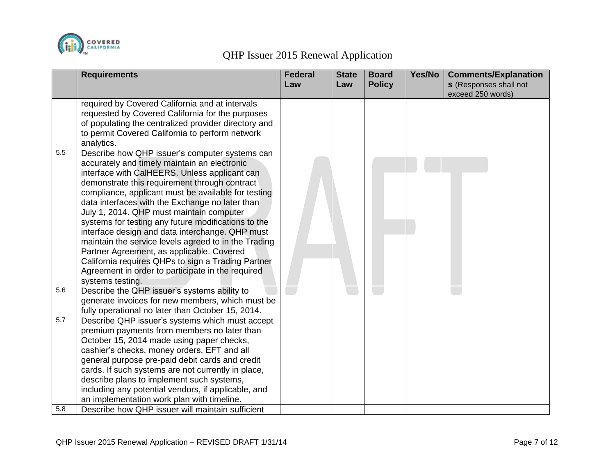

|     | <b>Requirements</b>                                                                                                                                                                                                                                                                                                                                                                                                                                                                                                                                                                                                                                                                                  | <b>Federal</b><br>Law | <b>State</b><br>Law | <b>Board</b><br><b>Policy</b> | Yes/No | <b>Comments/Explanation</b><br><b>s</b> (Responses shall not |
|-----|------------------------------------------------------------------------------------------------------------------------------------------------------------------------------------------------------------------------------------------------------------------------------------------------------------------------------------------------------------------------------------------------------------------------------------------------------------------------------------------------------------------------------------------------------------------------------------------------------------------------------------------------------------------------------------------------------|-----------------------|---------------------|-------------------------------|--------|--------------------------------------------------------------|
|     |                                                                                                                                                                                                                                                                                                                                                                                                                                                                                                                                                                                                                                                                                                      |                       |                     |                               |        | exceed 250 words)                                            |
|     | required by Covered California and at intervals<br>requested by Covered California for the purposes<br>of populating the centralized provider directory and<br>to permit Covered California to perform network<br>analytics.                                                                                                                                                                                                                                                                                                                                                                                                                                                                         |                       |                     |                               |        |                                                              |
| 5.5 | Describe how QHP issuer's computer systems can<br>accurately and timely maintain an electronic<br>interface with CalHEERS. Unless applicant can<br>demonstrate this requirement through contract<br>compliance, applicant must be available for testing<br>data interfaces with the Exchange no later than<br>July 1, 2014. QHP must maintain computer<br>systems for testing any future modifications to the<br>interface design and data interchange. QHP must<br>maintain the service levels agreed to in the Trading<br>Partner Agreement, as applicable. Covered<br>California requires QHPs to sign a Trading Partner<br>Agreement in order to participate in the required<br>systems testing. |                       |                     |                               |        |                                                              |
| 5.6 | Describe the QHP issuer's systems ability to<br>generate invoices for new members, which must be<br>fully operational no later than October 15, 2014.                                                                                                                                                                                                                                                                                                                                                                                                                                                                                                                                                |                       |                     |                               |        |                                                              |
| 5.7 | Describe QHP issuer's systems which must accept<br>premium payments from members no later than<br>October 15, 2014 made using paper checks,<br>cashier's checks, money orders, EFT and all<br>general purpose pre-paid debit cards and credit<br>cards. If such systems are not currently in place,<br>describe plans to implement such systems,<br>including any potential vendors, if applicable, and<br>an implementation work plan with timeline.                                                                                                                                                                                                                                                |                       |                     |                               |        |                                                              |
| 5.8 | Describe how QHP issuer will maintain sufficient                                                                                                                                                                                                                                                                                                                                                                                                                                                                                                                                                                                                                                                     |                       |                     |                               |        |                                                              |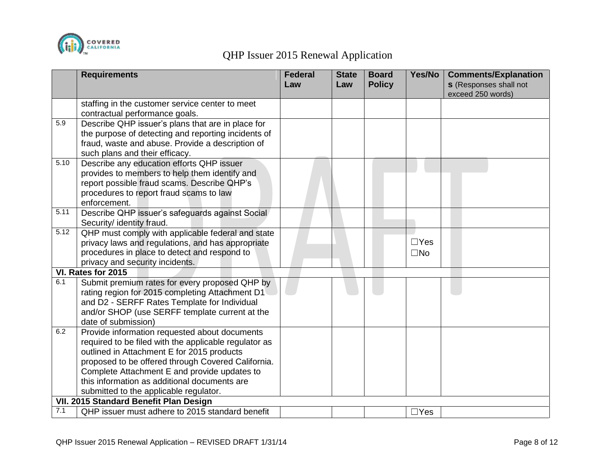

|      | <b>Requirements</b>                                                                          | <b>Federal</b> | <b>State</b> | <b>Board</b>  | Yes/No       | <b>Comments/Explanation</b>                        |
|------|----------------------------------------------------------------------------------------------|----------------|--------------|---------------|--------------|----------------------------------------------------|
|      |                                                                                              | Law            | Law          | <b>Policy</b> |              | <b>s</b> (Responses shall not<br>exceed 250 words) |
|      | staffing in the customer service center to meet                                              |                |              |               |              |                                                    |
|      | contractual performance goals.                                                               |                |              |               |              |                                                    |
| 5.9  | Describe QHP issuer's plans that are in place for                                            |                |              |               |              |                                                    |
|      | the purpose of detecting and reporting incidents of                                          |                |              |               |              |                                                    |
|      | fraud, waste and abuse. Provide a description of                                             |                |              |               |              |                                                    |
|      | such plans and their efficacy.                                                               |                |              |               |              |                                                    |
| 5.10 | Describe any education efforts QHP issuer                                                    |                |              |               |              |                                                    |
|      | provides to members to help them identify and                                                |                |              |               |              |                                                    |
|      | report possible fraud scams. Describe QHP's                                                  |                |              |               |              |                                                    |
|      | procedures to report fraud scams to law                                                      |                |              |               |              |                                                    |
|      | enforcement.                                                                                 |                |              |               |              |                                                    |
| 5.11 | Describe QHP issuer's safeguards against Social                                              |                |              |               |              |                                                    |
|      | Security/ identity fraud.                                                                    |                |              |               |              |                                                    |
| 5.12 | QHP must comply with applicable federal and state                                            |                |              |               |              |                                                    |
|      | privacy laws and regulations, and has appropriate                                            |                |              |               | $\Box$ Yes   |                                                    |
|      | procedures in place to detect and respond to                                                 |                |              |               | $\square$ No |                                                    |
|      | privacy and security incidents.                                                              |                |              |               |              |                                                    |
|      | VI. Rates for 2015                                                                           |                |              |               |              |                                                    |
| 6.1  | Submit premium rates for every proposed QHP by                                               |                |              |               |              |                                                    |
|      | rating region for 2015 completing Attachment D1                                              |                |              |               |              |                                                    |
|      | and D2 - SERFF Rates Template for Individual                                                 |                |              |               |              |                                                    |
|      | and/or SHOP (use SERFF template current at the                                               |                |              |               |              |                                                    |
| 6.2  | date of submission)                                                                          |                |              |               |              |                                                    |
|      | Provide information requested about documents                                                |                |              |               |              |                                                    |
|      | required to be filed with the applicable regulator as                                        |                |              |               |              |                                                    |
|      | outlined in Attachment E for 2015 products                                                   |                |              |               |              |                                                    |
|      | proposed to be offered through Covered California.                                           |                |              |               |              |                                                    |
|      | Complete Attachment E and provide updates to<br>this information as additional documents are |                |              |               |              |                                                    |
|      |                                                                                              |                |              |               |              |                                                    |
|      | submitted to the applicable regulator.<br>VII. 2015 Standard Benefit Plan Design             |                |              |               |              |                                                    |
| 7.1  | QHP issuer must adhere to 2015 standard benefit                                              |                |              |               |              |                                                    |
|      |                                                                                              |                |              |               | $\Box$ Yes   |                                                    |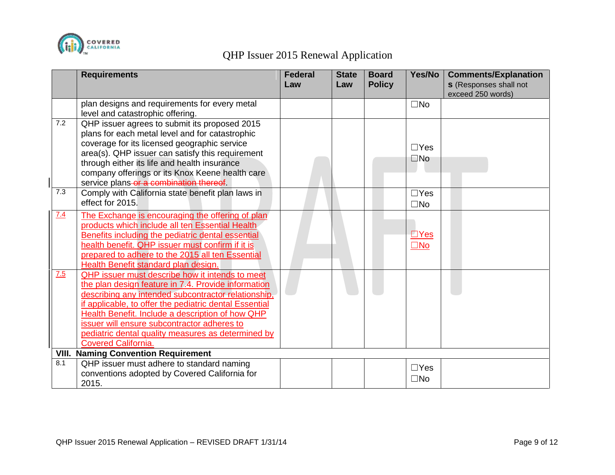

|       | <b>Requirements</b>                                    | <b>Federal</b><br>Law | <b>State</b><br>Law | <b>Board</b><br><b>Policy</b> | Yes/No        | <b>Comments/Explanation</b><br><b>s</b> (Responses shall not |
|-------|--------------------------------------------------------|-----------------------|---------------------|-------------------------------|---------------|--------------------------------------------------------------|
|       |                                                        |                       |                     |                               |               | exceed 250 words)                                            |
|       | plan designs and requirements for every metal          |                       |                     |                               | $\square$ No  |                                                              |
|       | level and catastrophic offering.                       |                       |                     |                               |               |                                                              |
| 7.2   | QHP issuer agrees to submit its proposed 2015          |                       |                     |                               |               |                                                              |
|       | plans for each metal level and for catastrophic        |                       |                     |                               |               |                                                              |
|       | coverage for its licensed geographic service           |                       |                     |                               | $\Box Y$ es   |                                                              |
|       | area(s). QHP issuer can satisfy this requirement       |                       |                     |                               |               |                                                              |
|       | through either its life and health insurance           |                       |                     |                               | $\square$ No  |                                                              |
|       | company offerings or its Knox Keene health care        |                       |                     |                               |               |                                                              |
|       | service plans or a combination thereof.                |                       |                     |                               |               |                                                              |
| 7.3   | Comply with California state benefit plan laws in      |                       |                     |                               | $\Box Y$ es   |                                                              |
|       | effect for 2015.                                       |                       |                     |                               | $\square$ No  |                                                              |
| 7.4   | The Exchange is encouraging the offering of plan       |                       |                     |                               |               |                                                              |
|       | products which include all ten Essential Health        |                       |                     |                               |               |                                                              |
|       | Benefits including the pediatric dental essential      |                       |                     |                               | $\square$ Yes |                                                              |
|       | health benefit. QHP issuer must confirm if it is       |                       |                     |                               | $\square$ No  |                                                              |
|       | prepared to adhere to the 2015 all ten Essential       |                       |                     |                               |               |                                                              |
|       | Health Benefit standard plan design.                   |                       |                     |                               |               |                                                              |
| Z.5   | <b>QHP</b> issuer must describe how it intends to meet |                       |                     |                               |               |                                                              |
|       | the plan design feature in 7.4. Provide information    |                       |                     |                               |               |                                                              |
|       | describing any intended subcontractor relationship,    |                       |                     |                               |               |                                                              |
|       | if applicable, to offer the pediatric dental Essential |                       |                     |                               |               |                                                              |
|       | Health Benefit. Include a description of how QHP       |                       |                     |                               |               |                                                              |
|       | issuer will ensure subcontractor adheres to            |                       |                     |                               |               |                                                              |
|       | pediatric dental quality measures as determined by     |                       |                     |                               |               |                                                              |
|       | <b>Covered California.</b>                             |                       |                     |                               |               |                                                              |
| VIII. | <b>Naming Convention Requirement</b>                   |                       |                     |                               |               |                                                              |
| 8.1   | QHP issuer must adhere to standard naming              |                       |                     |                               | $\Box$ Yes    |                                                              |
|       | conventions adopted by Covered California for          |                       |                     |                               |               |                                                              |
|       | 2015.                                                  |                       |                     |                               | $\square$ No  |                                                              |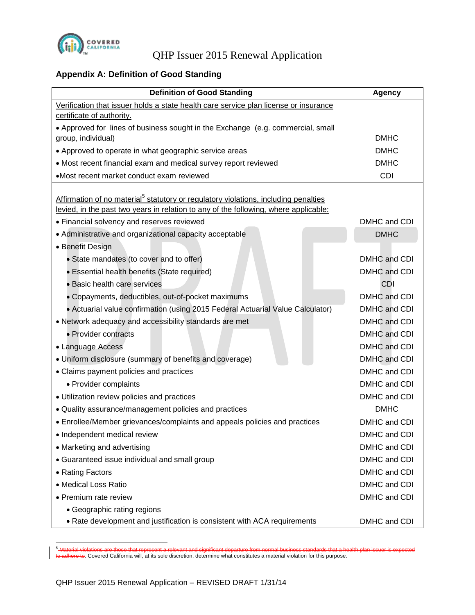

### **Appendix A: Definition of Good Standing**

| <b>Definition of Good Standing</b>                                                              | Agency       |
|-------------------------------------------------------------------------------------------------|--------------|
| Verification that issuer holds a state health care service plan license or insurance            |              |
| certificate of authority.                                                                       |              |
| • Approved for lines of business sought in the Exchange (e.g. commercial, small                 |              |
| group, individual)                                                                              | <b>DMHC</b>  |
| • Approved to operate in what geographic service areas                                          | <b>DMHC</b>  |
| • Most recent financial exam and medical survey report reviewed                                 | <b>DMHC</b>  |
| •Most recent market conduct exam reviewed                                                       | <b>CDI</b>   |
| Affirmation of no material <sup>5</sup> statutory or regulatory violations, including penalties |              |
| levied, in the past two years in relation to any of the following, where applicable:            |              |
| • Financial solvency and reserves reviewed                                                      | DMHC and CDI |
| • Administrative and organizational capacity acceptable                                         | <b>DMHC</b>  |
| • Benefit Design                                                                                |              |
| • State mandates (to cover and to offer)                                                        | DMHC and CDI |
| • Essential health benefits (State required)                                                    | DMHC and CDI |
| · Basic health care services                                                                    | CDI          |
| • Copayments, deductibles, out-of-pocket maximums                                               | DMHC and CDI |
| • Actuarial value confirmation (using 2015 Federal Actuarial Value Calculator)                  | DMHC and CDI |
| • Network adequacy and accessibility standards are met                                          | DMHC and CDI |
| • Provider contracts                                                                            | DMHC and CDI |
| • Language Access                                                                               | DMHC and CDI |
| • Uniform disclosure (summary of benefits and coverage)                                         | DMHC and CDI |
| • Claims payment policies and practices                                                         | DMHC and CDI |
| • Provider complaints                                                                           | DMHC and CDI |
| • Utilization review policies and practices                                                     | DMHC and CDI |
| • Quality assurance/management policies and practices                                           | <b>DMHC</b>  |
| • Enrollee/Member grievances/complaints and appeals policies and practices                      | DMHC and CDI |
| · Independent medical review                                                                    | DMHC and CDI |
| • Marketing and advertising                                                                     | DMHC and CDI |
| • Guaranteed issue individual and small group                                                   | DMHC and CDI |
| • Rating Factors                                                                                | DMHC and CDI |
| · Medical Loss Ratio                                                                            | DMHC and CDI |
| • Premium rate review                                                                           | DMHC and CDI |
| • Geographic rating regions                                                                     |              |
| • Rate development and justification is consistent with ACA requirements                        | DMHC and CDI |

<sup>5</sup> Material violations are those that represent a relevant and significant departure from normal business standards that a health plan issuer is expected to a defect to a covered California will, at its sole discretion, determine what constitutes a material violation for this purpose.

 $\overline{a}$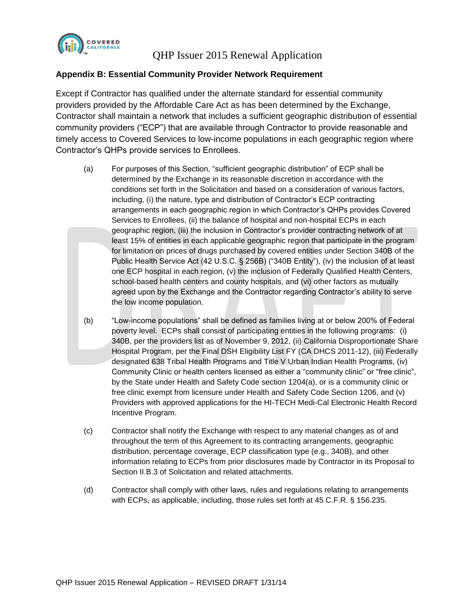

#### **Appendix B: Essential Community Provider Network Requirement**

Except if Contractor has qualified under the alternate standard for essential community providers provided by the Affordable Care Act as has been determined by the Exchange, Contractor shall maintain a network that includes a sufficient geographic distribution of essential community providers ("ECP") that are available through Contractor to provide reasonable and timely access to Covered Services to low-income populations in each geographic region where Contractor's QHPs provide services to Enrollees.

- (a) For purposes of this Section, "sufficient geographic distribution" of ECP shall be determined by the Exchange in its reasonable discretion in accordance with the conditions set forth in the Solicitation and based on a consideration of various factors, including, (i) the nature, type and distribution of Contractor's ECP contracting arrangements in each geographic region in which Contractor's QHPs provides Covered Services to Enrollees, (ii) the balance of hospital and non-hospital ECPs in each geographic region, (iii) the inclusion in Contractor's provider contracting network of at least 15% of entities in each applicable geographic region that participate in the program for limitation on prices of drugs purchased by covered entities under Section 340B of the Public Health Service Act (42 U.S.C. § 256B) ("340B Entity"), (iv) the inclusion of at least one ECP hospital in each region, (v) the inclusion of Federally Qualified Health Centers, school-based health centers and county hospitals, and (vi) other factors as mutually agreed upon by the Exchange and the Contractor regarding Contractor's ability to serve the low income population.
- (b) "Low-income populations" shall be defined as families living at or below 200% of Federal poverty level. ECPs shall consist of participating entities in the following programs: (i) 340B, per the providers list as of November 9, 2012, (ii) California Disproportionate Share Hospital Program, per the Final DSH Eligibility List FY (CA DHCS 2011-12), (iii) Federally designated 638 Tribal Health Programs and Title V Urban Indian Health Programs, (iv) Community Clinic or health centers licensed as either a "community clinic" or "free clinic", by the State under Health and Safety Code section 1204(a), or is a community clinic or free clinic exempt from licensure under Health and Safety Code Section 1206, and (v) Providers with approved applications for the HI-TECH Medi-Cal Electronic Health Record Incentive Program.
- (c) Contractor shall notify the Exchange with respect to any material changes as of and throughout the term of this Agreement to its contracting arrangements, geographic distribution, percentage coverage, ECP classification type (e.g., 340B), and other information relating to ECPs from prior disclosures made by Contractor in its Proposal to Section II.B.3 of Solicitation and related attachments.
- (d) Contractor shall comply with other laws, rules and regulations relating to arrangements with ECPs, as applicable, including, those rules set forth at 45 C.F.R. § 156.235.